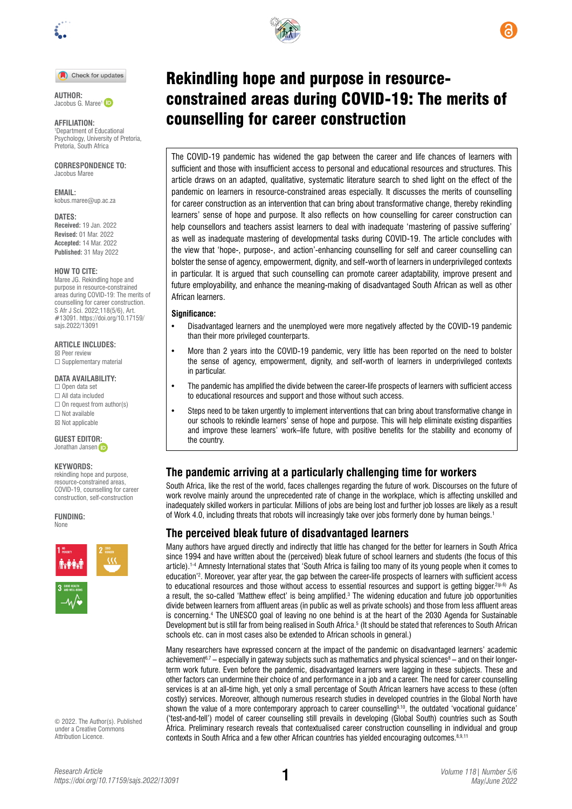

#### Check for updates

**AUTHOR:**  Jacobus G. Maree<sup>1</sup>

**AFFILIATION:** 1 Department of Educational Psychology, University of Pretoria, Pretoria, South Africa

**CORRESPONDENCE TO:**  Jacobus Maree

**EMAIL:**  [kobus.maree@up.ac.za](mailto:kobus.maree@up.ac.za)

#### **DATES:**

**Received:** 19 Jan. 2022 **Revised:** 01 Mar. 2022 **Accepted:** 14 Mar. 2022 **Published:** 31 May 2022

#### **HOW TO CITE:**

Maree JG. Rekindling hope and purpose in resource-constrained areas during COVID-19: The merits of counselling for career construction. S Afr J Sci. 2022;118(5/6), Art. #13091. [https://doi.org/10.17159/](https://doi.org/10.17159/sajs.2022/13091) [sajs.2022/13091](https://doi.org/10.17159/sajs.2022/13091)

#### **ARTICLE INCLUDES:**

☒ Peer review ☐ Supplementary material

### **DATA AVAILABILITY:**

□ Open data set ☐ All data included  $\Box$  On request from author(s) ☐ Not available ☒ Not applicable

**GUEST EDITO[R:](https://orcid.org/0000-0002-8614-5678)**  Jonathan Jansen in

#### **KEYWORDS:**

rekindling hope and purpose, resource-constrained areas, COVID-19, counselling for career construction, self-construction

**FUNDING:**  None



© 2022. The Author(s). Published under a [Creative Commons](https://creativecommons.org/licenses/by/4.0/)  [Attribution Licence.](https://creativecommons.org/licenses/by/4.0/)



The COVID-19 pandemic has widened the gap between the career and life chances of learners with sufficient and those with insufficient access to personal and educational resources and structures. This article draws on an adapted, qualitative, systematic literature search to shed light on the effect of the pandemic on learners in resource-constrained areas especially. It discusses the merits of counselling for career construction as an intervention that can bring about transformative change, thereby rekindling learners' sense of hope and purpose. It also reflects on how counselling for career construction can help counsellors and teachers assist learners to deal with inadequate 'mastering of passive suffering' as well as inadequate mastering of developmental tasks during COVID-19. The article concludes with the view that 'hope-, purpose-, and action'-enhancing counselling for self and career counselling can bolster the sense of agency, empowerment, dignity, and self-worth of learners in underprivileged contexts in particular. It is argued that such counselling can promote career adaptability, improve present and future employability, and enhance the meaning-making of disadvantaged South African as well as other African learners.

#### **Significance:**

- Disadvantaged learners and the unemployed were more negatively affected by the COVID-19 pandemic than their more privileged counterparts.
- More than 2 years into the COVID-19 pandemic, very little has been reported on the need to bolster the sense of agency, empowerment, dignity, and self-worth of learners in underprivileged contexts in particular.
- The pandemic has amplified the divide between the career-life prospects of learners with sufficient access to educational resources and support and those without such access.
- Steps need to be taken urgently to implement interventions that can bring about transformative change in our schools to rekindle learners' sense of hope and purpose. This will help eliminate existing disparities and improve these learners' work–life future, with positive benefits for the stability and economy of the country.

## **The pandemic arriving at a particularly challenging time for workers**

South Africa, like the rest of the world, faces challenges regarding the future of work. Discourses on the future of work revolve mainly around the unprecedented rate of change in the workplace, which is affecting unskilled and inadequately skilled workers in particular. Millions of jobs are being lost and further job losses are likely as a result of Work 4.0, including threats that robots will increasingly take over jobs formerly done by human beings.1

## **The perceived bleak future of disadvantaged learners**

Many authors have argued directly and indirectly that little has changed for the better for learners in South Africa since 1994 and have written about the (perceived) bleak future of school learners and students (the focus of this article).1-4 Amnesty International states that 'South Africa is failing too many of its young people when it comes to education'2 . Moreover, year after year, the gap between the career-life prospects of learners with sufficient access to educational resources and those without access to essential resources and support is getting bigger.<sup>2(p.6)</sup> As a result, the so-called 'Matthew effect' is being amplified.<sup>3</sup> The widening education and future job opportunities divide between learners from affluent areas (in public as well as private schools) and those from less affluent areas is concerning.4 The UNESCO goal of leaving no one behind is at the heart of the 2030 Agenda for Sustainable Development but is still far from being realised in South Africa.<sup>5</sup> (It should be stated that references to South African schools etc. can in most cases also be extended to African schools in general.)

Many researchers have expressed concern at the impact of the pandemic on disadvantaged learners' academic achievement<sup>6,7</sup> – especially in gateway subjects such as mathematics and physical sciences<sup>8</sup> – and on their longerterm work future. Even before the pandemic, disadvantaged learners were lagging in these subjects. These and other factors can undermine their choice of and performance in a job and a career. The need for career counselling services is at an all-time high, yet only a small percentage of South African learners have access to these (often costly) services. Moreover, although numerous research studies in developed countries in the Global North have shown the value of a more contemporary approach to career counselling<sup>9,10</sup>, the outdated 'vocational guidance' ('test-and-tell') model of career counselling still prevails in developing (Global South) countries such as South Africa. Preliminary research reveals that contextualised career construction counselling in individual and group contexts in South Africa and a few other African countries has yielded encouraging outcomes.<sup>8,9,11</sup>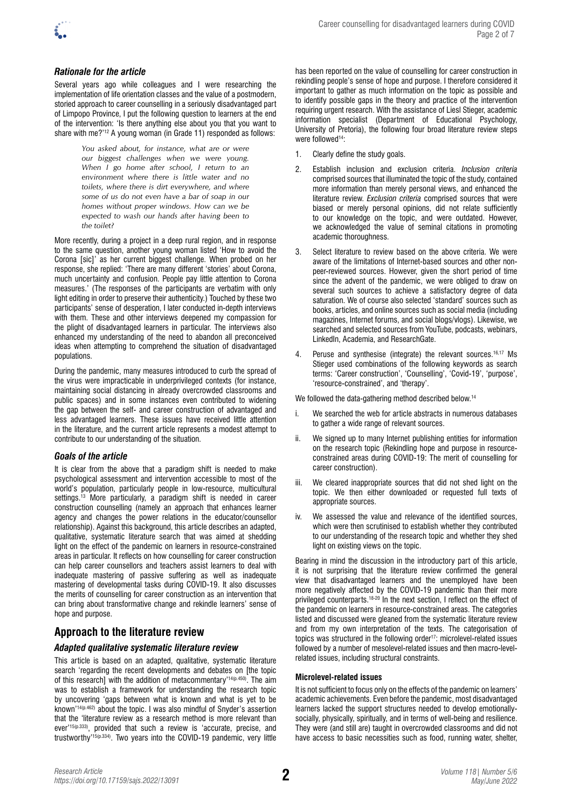

## *Rationale for the article*

Several years ago while colleagues and I were researching the implementation of life orientation classes and the value of a postmodern, storied approach to career counselling in a seriously disadvantaged part of Limpopo Province, I put the following question to learners at the end of the intervention: 'Is there anything else about you that you want to share with me?'<sup>12</sup> A young woman (in Grade 11) responded as follows:

> *You asked about, for instance, what are or were our biggest challenges when we were young. When I go home after school, I return to an environment where there is little water and no toilets, where there is dirt everywhere, and where some of us do not even have a bar of soap in our homes without proper windows. How can we be expected to wash our hands after having been to the toilet?*

More recently, during a project in a deep rural region, and in response to the same question, another young woman listed 'How to avoid the Corona [sic]' as her current biggest challenge. When probed on her response, she replied: 'There are many different 'stories' about Corona, much uncertainty and confusion. People pay little attention to Corona measures.' (The responses of the participants are verbatim with only light editing in order to preserve their authenticity.) Touched by these two participants' sense of desperation, I later conducted in-depth interviews with them. These and other interviews deepened my compassion for the plight of disadvantaged learners in particular. The interviews also enhanced my understanding of the need to abandon all preconceived ideas when attempting to comprehend the situation of disadvantaged populations.

During the pandemic, many measures introduced to curb the spread of the virus were impracticable in underprivileged contexts (for instance, maintaining social distancing in already overcrowded classrooms and public spaces) and in some instances even contributed to widening the gap between the self- and career construction of advantaged and less advantaged learners. These issues have received little attention in the literature, and the current article represents a modest attempt to contribute to our understanding of the situation.

#### *Goals of the article*

It is clear from the above that a paradigm shift is needed to make psychological assessment and intervention accessible to most of the world's population, particularly people in low-resource, multicultural settings.<sup>13</sup> More particularly, a paradigm shift is needed in career construction counselling (namely an approach that enhances learner agency and changes the power relations in the educator/counsellor relationship). Against this background, this article describes an adapted, qualitative, systematic literature search that was aimed at shedding light on the effect of the pandemic on learners in resource-constrained areas in particular. It reflects on how counselling for career construction can help career counsellors and teachers assist learners to deal with inadequate mastering of passive suffering as well as inadequate mastering of developmental tasks during COVID-19. It also discusses the merits of counselling for career construction as an intervention that can bring about transformative change and rekindle learners' sense of hope and purpose.

# **Approach to the literature review**

### *Adapted qualitative systematic literature review*

This article is based on an adapted, qualitative, systematic literature search 'regarding the recent developments and debates on [the topic of this research] with the addition of metacommentary'<sup>14(p.450)</sup>. The aim was to establish a framework for understanding the research topic by uncovering 'gaps between what is known and what is yet to be known'14(p.462) about the topic. I was also mindful of Snyder's assertion that the 'literature review as a research method is more relevant than ever'<sup>15(p.333)</sup>, provided that such a review is 'accurate, precise, and trustworthy'15(p.334). Two years into the COVID-19 pandemic, very little

has been reported on the value of counselling for career construction in rekindling people's sense of hope and purpose. I therefore considered it important to gather as much information on the topic as possible and to identify possible gaps in the theory and practice of the intervention requiring urgent research. With the assistance of Liesl Stieger, academic information specialist (Department of Educational Psychology, University of Pretoria), the following four broad literature review steps were followed<sup>14</sup>:

- 1. Clearly define the study goals.
- 2. Establish inclusion and exclusion criteria. *Inclusion criteria* comprised sources that illuminated the topic of the study, contained more information than merely personal views, and enhanced the literature review. *Exclusion criteria* comprised sources that were biased or merely personal opinions, did not relate sufficiently to our knowledge on the topic, and were outdated. However, we acknowledged the value of seminal citations in promoting academic thoroughness.
- 3. Select literature to review based on the above criteria. We were aware of the limitations of Internet-based sources and other nonpeer-reviewed sources. However, given the short period of time since the advent of the pandemic, we were obliged to draw on several such sources to achieve a satisfactory degree of data saturation. We of course also selected 'standard' sources such as books, articles, and online sources such as social media (including magazines, Internet forums, and social blogs/vlogs). Likewise, we searched and selected sources from YouTube, podcasts, webinars, LinkedIn, Academia, and ResearchGate.
- 4. Peruse and synthesise (integrate) the relevant sources.<sup>16,17</sup> Ms Stieger used combinations of the following keywords as search terms: 'Career construction', 'Counselling', 'Covid-19', 'purpose', 'resource-constrained', and 'therapy'.

We followed the data-gathering method described below.<sup>14</sup>

- i. We searched the web for article abstracts in numerous databases to gather a wide range of relevant sources.
- ii. We signed up to many Internet publishing entities for information on the research topic (Rekindling hope and purpose in resourceconstrained areas during COVID-19: The merit of counselling for career construction).
- iii. We cleared inappropriate sources that did not shed light on the topic. We then either downloaded or requested full texts of appropriate sources.
- We assessed the value and relevance of the identified sources, which were then scrutinised to establish whether they contributed to our understanding of the research topic and whether they shed light on existing views on the topic.

Bearing in mind the discussion in the introductory part of this article, it is not surprising that the literature review confirmed the general view that disadvantaged learners and the unemployed have been more negatively affected by the COVID-19 pandemic than their more privileged counterparts.18-20 In the next section, I reflect on the effect of the pandemic on learners in resource-constrained areas. The categories listed and discussed were gleaned from the systematic literature review and from my own interpretation of the texts. The categorisation of topics was structured in the following order<sup>17</sup>: microlevel-related issues followed by a number of mesolevel-related issues and then macro-levelrelated issues, including structural constraints.

### **Microlevel-related issues**

It is not sufficient to focus only on the effects of the pandemic on learners' academic achievements. Even before the pandemic, most disadvantaged learners lacked the support structures needed to develop emotionallysocially, physically, spiritually, and in terms of well-being and resilience. They were (and still are) taught in overcrowded classrooms and did not have access to basic necessities such as food, running water, shelter,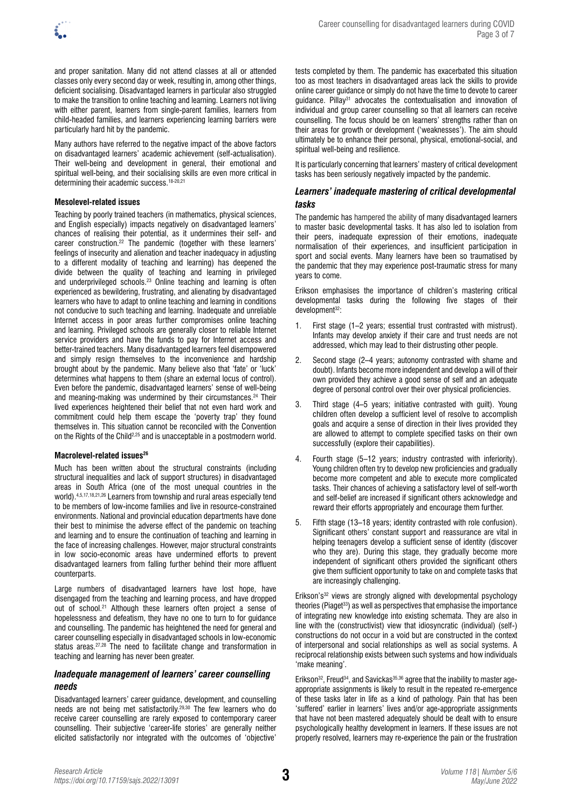

and proper sanitation. Many did not attend classes at all or attended classes only every second day or week, resulting in, among other things, deficient socialising. Disadvantaged learners in particular also struggled to make the transition to online teaching and learning. Learners not living with either parent, learners from single-parent families, learners from child-headed families, and learners experiencing learning barriers were particularly hard hit by the pandemic.

Many authors have referred to the negative impact of the above factors on disadvantaged learners' academic achievement (self-actualisation). Their well-being and development in general, their emotional and spiritual well-being, and their socialising skills are even more critical in determining their academic success.18-20,21

### **Mesolevel-related issues**

Teaching by poorly trained teachers (in mathematics, physical sciences, and English especially) impacts negatively on disadvantaged learners' chances of realising their potential, as it undermines their self- and career construction.22 The pandemic (together with these learners' feelings of insecurity and alienation and teacher inadequacy in adjusting to a different modality of teaching and learning) has deepened the divide between the quality of teaching and learning in privileged and underprivileged schools.<sup>23</sup> Online teaching and learning is often experienced as bewildering, frustrating, and alienating by disadvantaged learners who have to adapt to online teaching and learning in conditions not conducive to such teaching and learning. Inadequate and unreliable Internet access in poor areas further compromises online teaching and learning. Privileged schools are generally closer to reliable Internet service providers and have the funds to pay for Internet access and better-trained teachers. Many disadvantaged learners feel disempowered and simply resign themselves to the inconvenience and hardship brought about by the pandemic. Many believe also that 'fate' or 'luck' determines what happens to them (share an external locus of control). Even before the pandemic, disadvantaged learners' sense of well-being and meaning-making was undermined by their circumstances.<sup>24</sup> Their lived experiences heightened their belief that not even hard work and commitment could help them escape the 'poverty trap' they found themselves in. This situation cannot be reconciled with the Convention on the Rights of the Child<sup>2,25</sup> and is unacceptable in a postmodern world.

#### **Macrolevel-related issues26**

Much has been written about the structural constraints (including structural inequalities and lack of support structures) in disadvantaged areas in South Africa (one of the most unequal countries in the world).4,5,17,18,21,26 Learners from township and rural areas especially tend to be members of low-income families and live in resource-constrained environments. National and provincial education departments have done their best to minimise the adverse effect of the pandemic on teaching and learning and to ensure the continuation of teaching and learning in the face of increasing challenges. However, major structural constraints in low socio-economic areas have undermined efforts to prevent disadvantaged learners from falling further behind their more affluent counterparts.

Large numbers of disadvantaged learners have lost hope, have disengaged from the teaching and learning process, and have dropped out of school.<sup>21</sup> Although these learners often project a sense of hopelessness and defeatism, they have no one to turn to for guidance and counselling. The pandemic has heightened the need for general and career counselling especially in disadvantaged schools in low-economic status areas.27,28 The need to facilitate change and transformation in teaching and learning has never been greater.

### *Inadequate management of learners' career counselling needs*

Disadvantaged learners' career guidance, development, and counselling needs are not being met satisfactorily.29,30 The few learners who do receive career counselling are rarely exposed to contemporary career counselling. Their subjective 'career-life stories' are generally neither elicited satisfactorily nor integrated with the outcomes of 'objective' tests completed by them. The pandemic has exacerbated this situation too as most teachers in disadvantaged areas lack the skills to provide online career guidance or simply do not have the time to devote to career guidance. Pillay<sup>31</sup> advocates the contextualisation and innovation of individual and group career counselling so that all learners can receive counselling. The focus should be on learners' strengths rather than on their areas for growth or development ('weaknesses'). The aim should ultimately be to enhance their personal, physical, emotional-social, and spiritual well-being and resilience.

It is particularly concerning that learners' mastery of critical development tasks has been seriously negatively impacted by the pandemic.

### *Learners' inadequate mastering of critical developmental tasks*

The pandemic has hampered the ability of many disadvantaged learners to master basic developmental tasks. It has also led to isolation from their peers, inadequate expression of their emotions, inadequate normalisation of their experiences, and insufficient participation in sport and social events. Many learners have been so traumatised by the pandemic that they may experience post-traumatic stress for many years to come.

Erikson emphasises the importance of children's mastering critical developmental tasks during the following five stages of their development<sup>32</sup>:

- 1. First stage (1–2 years; essential trust contrasted with mistrust). Infants may develop anxiety if their care and trust needs are not addressed, which may lead to their distrusting other people.
- 2. Second stage (2–4 years; autonomy contrasted with shame and doubt). Infants become more independent and develop a will of their own provided they achieve a good sense of self and an adequate degree of personal control over their over physical proficiencies.
- 3. Third stage (4–5 years; initiative contrasted with guilt). Young children often develop a sufficient level of resolve to accomplish goals and acquire a sense of direction in their lives provided they are allowed to attempt to complete specified tasks on their own successfully (explore their capabilities).
- 4. Fourth stage (5–12 years; industry contrasted with inferiority). Young children often try to develop new proficiencies and gradually become more competent and able to execute more complicated tasks. Their chances of achieving a satisfactory level of self-worth and self-belief are increased if significant others acknowledge and reward their efforts appropriately and encourage them further.
- Fifth stage (13–18 years; identity contrasted with role confusion). Significant others' constant support and reassurance are vital in helping teenagers develop a sufficient sense of identity (discover who they are). During this stage, they gradually become more independent of significant others provided the significant others give them sufficient opportunity to take on and complete tasks that are increasingly challenging.

Erikson's32 views are strongly aligned with developmental psychology theories (Piaget<sup>33</sup>) as well as perspectives that emphasise the importance of integrating new knowledge into existing schemata. They are also in line with the (constructivist) view that idiosyncratic (individual) (self-) constructions do not occur in a void but are constructed in the context of interpersonal and social relationships as well as social systems. A reciprocal relationship exists between such systems and how individuals 'make meaning'.

Erikson<sup>32</sup>, Freud<sup>34</sup>, and Savickas<sup>35,36</sup> agree that the inability to master ageappropriate assignments is likely to result in the repeated re-emergence of these tasks later in life as a kind of pathology. Pain that has been 'suffered' earlier in learners' lives and/or age-appropriate assignments that have not been mastered adequately should be dealt with to ensure psychologically healthy development in learners. If these issues are not properly resolved, learners may re-experience the pain or the frustration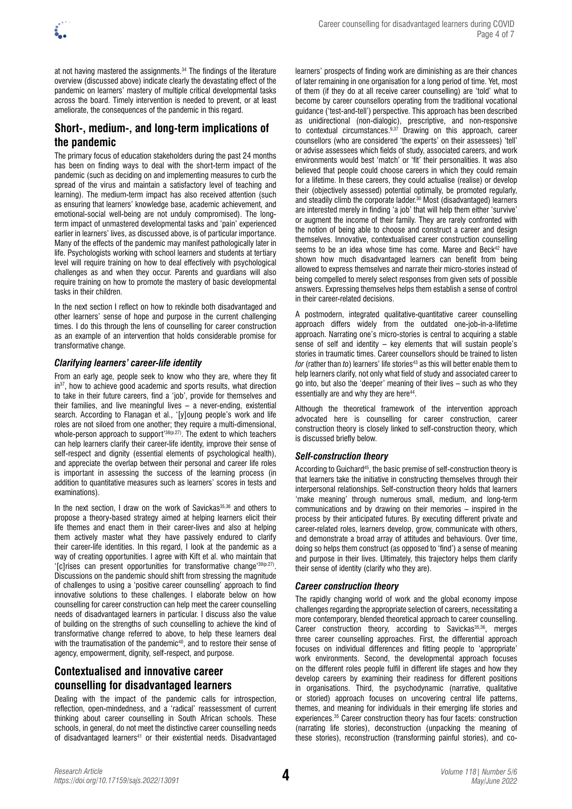

at not having mastered the assignments.34 The findings of the literature overview (discussed above) indicate clearly the devastating effect of the pandemic on learners' mastery of multiple critical developmental tasks across the board. Timely intervention is needed to prevent, or at least ameliorate, the consequences of the pandemic in this regard.

# **Short-, medium-, and long-term implications of the pandemic**

The primary focus of education stakeholders during the past 24 months has been on finding ways to deal with the short-term impact of the pandemic (such as deciding on and implementing measures to curb the spread of the virus and maintain a satisfactory level of teaching and learning). The medium-term impact has also received attention (such as ensuring that learners' knowledge base, academic achievement, and emotional-social well-being are not unduly compromised). The longterm impact of unmastered developmental tasks and 'pain' experienced earlier in learners' lives, as discussed above, is of particular importance. Many of the effects of the pandemic may manifest pathologically later in life. Psychologists working with school learners and students at tertiary level will require training on how to deal effectively with psychological challenges as and when they occur. Parents and guardians will also require training on how to promote the mastery of basic developmental tasks in their children.

In the next section I reflect on how to rekindle both disadvantaged and other learners' sense of hope and purpose in the current challenging times. I do this through the lens of counselling for career construction as an example of an intervention that holds considerable promise for transformative change.

## *Clarifying learners' career-life identity*

From an early age, people seek to know who they are, where they fit in<sup>37</sup>, how to achieve good academic and sports results, what direction to take in their future careers, find a 'job', provide for themselves and their families, and live meaningful lives – a never-ending, existential search. According to Flanagan et al., '[y]oung people's work and life roles are not siloed from one another; they require a multi-dimensional, whole-person approach to support<sup>'38(p.27)</sup>. The extent to which teachers can help learners clarify their career-life identity, improve their sense of self-respect and dignity (essential elements of psychological health), and appreciate the overlap between their personal and career life roles is important in assessing the success of the learning process (in addition to quantitative measures such as learners' scores in tests and examinations).

In the next section, I draw on the work of Savickas<sup>35,36</sup> and others to propose a theory-based strategy aimed at helping learners elicit their life themes and enact them in their career-lives and also at helping them actively master what they have passively endured to clarify their career-life identities. In this regard, I look at the pandemic as a way of creating opportunities. I agree with Kift et al. who maintain that '[c]rises can present opportunities for transformative change'39(p.27). Discussions on the pandemic should shift from stressing the magnitude of challenges to using a 'positive career counselling' approach to find innovative solutions to these challenges. I elaborate below on how counselling for career construction can help meet the career counselling needs of disadvantaged learners in particular. I discuss also the value of building on the strengths of such counselling to achieve the kind of transformative change referred to above, to help these learners deal with the traumatisation of the pandemic<sup>40</sup>, and to restore their sense of agency, empowerment, dignity, self-respect, and purpose.

# **Contextualised and innovative career counselling for disadvantaged learners**

Dealing with the impact of the pandemic calls for introspection, reflection, open-mindedness, and a 'radical' reassessment of current thinking about career counselling in South African schools. These schools, in general, do not meet the distinctive career counselling needs of disadvantaged learners<sup>41</sup> or their existential needs. Disadvantaged learners' prospects of finding work are diminishing as are their chances of later remaining in one organisation for a long period of time. Yet, most of them (if they do at all receive career counselling) are 'told' what to become by career counsellors operating from the traditional vocational guidance ('test-and-tell') perspective. This approach has been described as unidirectional (non-dialogic), prescriptive, and non-responsive to contextual circumstances.9,37 Drawing on this approach, career counsellors (who are considered 'the experts' on their assessees) 'tell' or advise assessees which fields of study, associated careers, and work environments would best 'match' or 'fit' their personalities. It was also believed that people could choose careers in which they could remain for a lifetime. In these careers, they could actualise (realise) or develop their (objectively assessed) potential optimally, be promoted regularly, and steadily climb the corporate ladder.30 Most (disadvantaged) learners are interested merely in finding 'a job' that will help them either 'survive' or augment the income of their family. They are rarely confronted with the notion of being able to choose and construct a career and design themselves. Innovative, contextualised career construction counselling seems to be an idea whose time has come. Maree and Beck<sup>42</sup> have shown how much disadvantaged learners can benefit from being allowed to express themselves and narrate their micro-stories instead of being compelled to merely select responses from given sets of possible answers. Expressing themselves helps them establish a sense of control in their career-related decisions.

A postmodern, integrated qualitative-quantitative career counselling approach differs widely from the outdated one-job-in-a-lifetime approach. Narrating one's micro-stories is central to acquiring a stable sense of self and identity – key elements that will sustain people's stories in traumatic times. Career counsellors should be trained to listen *for* (rather than *to*) learners' life stories<sup>43</sup> as this will better enable them to help learners clarify, not only what field of study and associated career to go into, but also the 'deeper' meaning of their lives – such as who they essentially are and why they are here<sup>44</sup>.

Although the theoretical framework of the intervention approach advocated here is counselling for career construction, career construction theory is closely linked to self-construction theory, which is discussed briefly below.

### *Self-construction theory*

According to Guichard<sup>45</sup>, the basic premise of self-construction theory is that learners take the initiative in constructing themselves through their interpersonal relationships. Self-construction theory holds that learners 'make meaning' through numerous small, medium, and long-term communications and by drawing on their memories – inspired in the process by their anticipated futures. By executing different private and career-related roles, learners develop, grow, communicate with others, and demonstrate a broad array of attitudes and behaviours. Over time, doing so helps them construct (as opposed to 'find') a sense of meaning and purpose in their lives. Ultimately, this trajectory helps them clarify their sense of identity (clarify who they are).

### *Career construction theory*

The rapidly changing world of work and the global economy impose challenges regarding the appropriate selection of careers, necessitating a more contemporary, blended theoretical approach to career counselling. Career construction theory, according to Savickas<sup>35,36</sup>, merges three career counselling approaches. First, the differential approach focuses on individual differences and fitting people to 'appropriate' work environments. Second, the developmental approach focuses on the different roles people fulfil in different life stages and how they develop careers by examining their readiness for different positions in organisations. Third, the psychodynamic (narrative, qualitative or storied) approach focuses on uncovering central life patterns, themes, and meaning for individuals in their emerging life stories and experiences.35 Career construction theory has four facets: construction (narrating life stories), deconstruction (unpacking the meaning of these stories), reconstruction (transforming painful stories), and co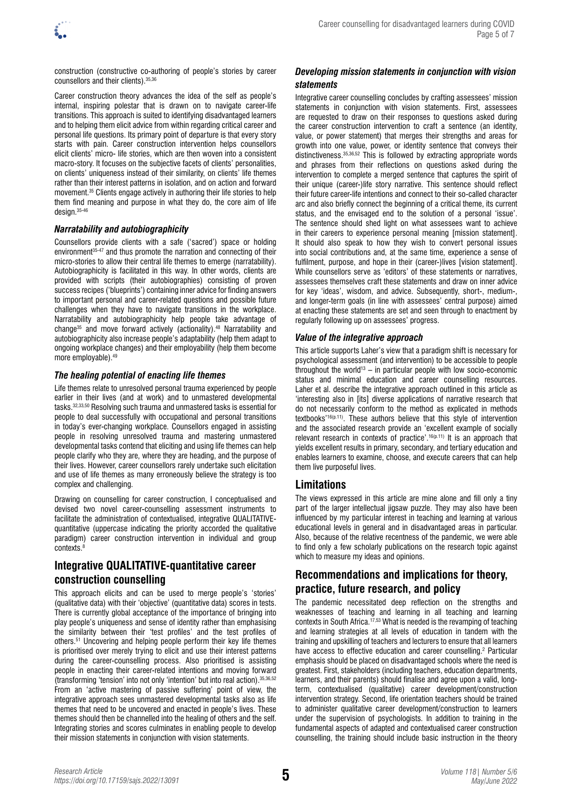construction (constructive co-authoring of people's stories by career counsellors and their clients).35,36

Career construction theory advances the idea of the self as people's internal, inspiring polestar that is drawn on to navigate career-life transitions. This approach is suited to identifying disadvantaged learners and to helping them elicit advice from within regarding critical career and personal life questions. Its primary point of departure is that every story starts with pain. Career construction intervention helps counsellors elicit clients' micro- life stories, which are then woven into a consistent macro-story. It focuses on the subjective facets of clients' personalities, on clients' uniqueness instead of their similarity, on clients' life themes rather than their interest patterns in isolation, and on action and forward movement.35 Clients engage actively in authoring their life stories to help them find meaning and purpose in what they do, the core aim of life design.35-46

## *Narratability and autobiographicity*

Counsellors provide clients with a safe ('sacred') space or holding environment<sup>35.47</sup> and thus promote the narration and connecting of their micro-stories to allow their central life themes to emerge (narratability). Autobiographicity is facilitated in this way. In other words, clients are provided with scripts (their autobiographies) consisting of proven success recipes ('blueprints') containing inner advice for finding answers to important personal and career-related questions and possible future challenges when they have to navigate transitions in the workplace. Narratability and autobiographicity help people take advantage of change35 and move forward actively (actionality).48 Narratability and autobiographicity also increase people's adaptability (help them adapt to ongoing workplace changes) and their employability (help them become more employable).49

## *The healing potential of enacting life themes*

Life themes relate to unresolved personal trauma experienced by people earlier in their lives (and at work) and to unmastered developmental tasks.32,33,50 Resolving such trauma and unmastered tasks is essential for people to deal successfully with occupational and personal transitions in today's ever-changing workplace. Counsellors engaged in assisting people in resolving unresolved trauma and mastering unmastered developmental tasks contend that eliciting and using life themes can help people clarify who they are, where they are heading, and the purpose of their lives. However, career counsellors rarely undertake such elicitation and use of life themes as many erroneously believe the strategy is too complex and challenging.

Drawing on counselling for career construction, I conceptualised and devised two novel career-counselling assessment instruments to facilitate the administration of contextualised, integrative QUALITATIVEquantitative (uppercase indicating the priority accorded the qualitative paradigm) career construction intervention in individual and group contexts.<sup>8</sup>

# **Integrative QUALITATIVE-quantitative career construction counselling**

This approach elicits and can be used to merge people's 'stories' (qualitative data) with their 'objective' (quantitative data) scores in tests. There is currently global acceptance of the importance of bringing into play people's uniqueness and sense of identity rather than emphasising the similarity between their 'test profiles' and the test profiles of others.51 Uncovering and helping people perform their key life themes is prioritised over merely trying to elicit and use their interest patterns during the career-counselling process. Also prioritised is assisting people in enacting their career-related intentions and moving forward (transforming 'tension' into not only 'intention' but into real action).35,36,52 From an 'active mastering of passive suffering' point of view, the integrative approach sees unmastered developmental tasks also as life themes that need to be uncovered and enacted in people's lives. These themes should then be channelled into the healing of others and the self. Integrating stories and scores culminates in enabling people to develop their mission statements in conjunction with vision statements.

## *Developing mission statements in conjunction with vision statements*

Integrative career counselling concludes by crafting assessees' mission statements in conjunction with vision statements. First, assessees are requested to draw on their responses to questions asked during the career construction intervention to craft a sentence (an identity, value, or power statement) that merges their strengths and areas for growth into one value, power, or identity sentence that conveys their distinctiveness.<sup>35,36,52</sup> This is followed by extracting appropriate words and phrases from their reflections on questions asked during the intervention to complete a merged sentence that captures the spirit of their unique (career-)life story narrative. This sentence should reflect their future career-life intentions and connect to their so-called character arc and also briefly connect the beginning of a critical theme, its current status, and the envisaged end to the solution of a personal 'issue'. The sentence should shed light on what assessees want to achieve in their careers to experience personal meaning [mission statement]. It should also speak to how they wish to convert personal issues into social contributions and, at the same time, experience a sense of fulfilment, purpose, and hope in their (career-)lives [vision statement]. While counsellors serve as 'editors' of these statements or narratives, assessees themselves craft these statements and draw on inner advice for key 'ideas', wisdom, and advice. Subsequently, short-, medium-, and longer-term goals (in line with assessees' central purpose) aimed at enacting these statements are set and seen through to enactment by regularly following up on assessees' progress.

### *Value of the integrative approach*

This article supports Laher's view that a paradigm shift is necessary for psychological assessment (and intervention) to be accessible to people throughout the world<sup>13</sup> – in particular people with low socio-economic status and minimal education and career counselling resources. Laher et al. describe the integrative approach outlined in this article as 'interesting also in [its] diverse applications of narrative research that do not necessarily conform to the method as explicated in methods textbooks'16(p.11). These authors believe that this style of intervention and the associated research provide an 'excellent example of socially relevant research in contexts of practice'.<sup>16(p.11)</sup> It is an approach that yields excellent results in primary, secondary, and tertiary education and enables learners to examine, choose, and execute careers that can help them live purposeful lives.

## **Limitations**

The views expressed in this article are mine alone and fill only a tiny part of the larger intellectual jigsaw puzzle. They may also have been influenced by my particular interest in teaching and learning at various educational levels in general and in disadvantaged areas in particular. Also, because of the relative recentness of the pandemic, we were able to find only a few scholarly publications on the research topic against which to measure my ideas and opinions.

## **Recommendations and implications for theory, practice, future research, and policy**

The pandemic necessitated deep reflection on the strengths and weaknesses of teaching and learning in all teaching and learning contexts in South Africa.17,53 What is needed is the revamping of teaching and learning strategies at all levels of education in tandem with the training and upskilling of teachers and lecturers to ensure that all learners have access to effective education and career counselling.<sup>2</sup> Particular emphasis should be placed on disadvantaged schools where the need is greatest. First, stakeholders (including teachers, education departments, learners, and their parents) should finalise and agree upon a valid, longterm, contextualised (qualitative) career development/construction intervention strategy. Second, life orientation teachers should be trained to administer qualitative career development/construction to learners under the supervision of psychologists. In addition to training in the fundamental aspects of adapted and contextualised career construction counselling, the training should include basic instruction in the theory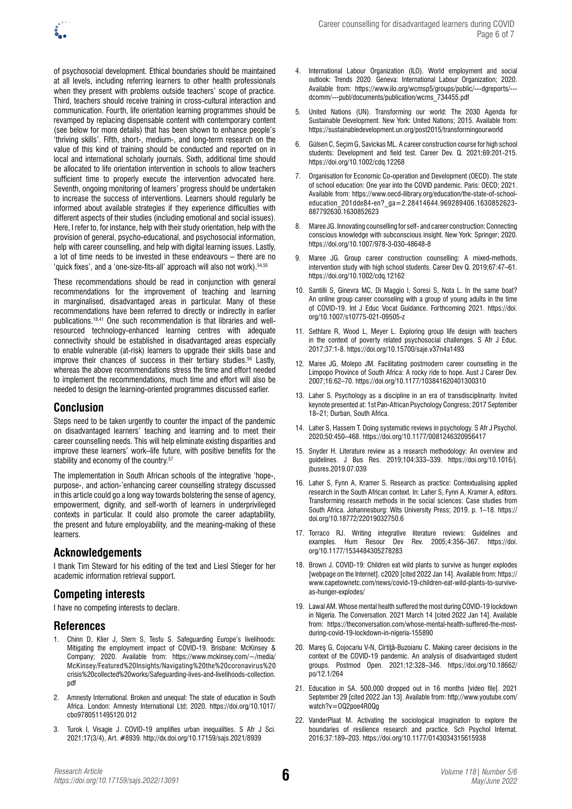of psychosocial development. Ethical boundaries should be maintained at all levels, including referring learners to other health professionals when they present with problems outside teachers' scope of practice. Third, teachers should receive training in cross-cultural interaction and communication. Fourth, life orientation learning programmes should be revamped by replacing dispensable content with contemporary content (see below for more details) that has been shown to enhance people's 'thriving skills'. Fifth, short-, medium-, and long-term research on the value of this kind of training should be conducted and reported on in local and international scholarly journals. Sixth, additional time should be allocated to life orientation intervention in schools to allow teachers sufficient time to properly execute the intervention advocated here. Seventh, ongoing monitoring of learners' progress should be undertaken to increase the success of interventions. Learners should regularly be informed about available strategies if they experience difficulties with different aspects of their studies (including emotional and social issues). Here, I refer to, for instance, help with their study orientation, help with the provision of general, psycho-educational, and psychosocial information, help with career counselling, and help with digital learning issues. Lastly, a lot of time needs to be invested in these endeavours – there are no 'quick fixes', and a 'one-size-fits-all' approach will also not work). 54,55

These recommendations should be read in conjunction with general recommendations for the improvement of teaching and learning in marginalised, disadvantaged areas in particular. Many of these recommendations have been referred to directly or indirectly in earlier publications.18,41 One such recommendation is that libraries and wellresourced technology-enhanced learning centres with adequate connectivity should be established in disadvantaged areas especially to enable vulnerable (at-risk) learners to upgrade their skills base and improve their chances of success in their tertiary studies.<sup>56</sup> Lastly, whereas the above recommendations stress the time and effort needed to implement the recommendations, much time and effort will also be needed to design the learning-oriented programmes discussed earlier.

## **Conclusion**

Steps need to be taken urgently to counter the impact of the pandemic on disadvantaged learners' teaching and learning and to meet their career counselling needs. This will help eliminate existing disparities and improve these learners' work–life future, with positive benefits for the stability and economy of the country.<sup>57</sup>

The implementation in South African schools of the integrative 'hope-, purpose-, and action-'enhancing career counselling strategy discussed in this article could go a long way towards bolstering the sense of agency, empowerment, dignity, and self-worth of learners in underprivileged contexts in particular. It could also promote the career adaptability, the present and future employability, and the meaning-making of these learners.

## **Acknowledgements**

I thank Tim Steward for his editing of the text and Liesl Stieger for her academic information retrieval support.

# **Competing interests**

I have no competing interests to declare.

## **References**

- 1. Chinn D, Klier J, Stern S, Tesfu S. Safeguarding Europe's livelihoods: Mitigating the employment impact of COVID-19. Brisbane: McKinsey & Company; 2020. Available from: [https://www.mckinsey.com/~/media/](https://www.mckinsey.com/~/media/McKinsey/Featured%20Insights/Navigating%20the%20coronavirus%20crisis%20collected%20works/Safeguarding-lives-and-livelihoods-collection.pdf) [McKinsey/Featured%20Insights/Navigating%20the%20coronavirus%20](https://www.mckinsey.com/~/media/McKinsey/Featured%20Insights/Navigating%20the%20coronavirus%20crisis%20collected%20works/Safeguarding-lives-and-livelihoods-collection.pdf) [crisis%20collected%20works/Safeguarding-lives-and-livelihoods-collection.](https://www.mckinsey.com/~/media/McKinsey/Featured%20Insights/Navigating%20the%20coronavirus%20crisis%20collected%20works/Safeguarding-lives-and-livelihoods-collection.pdf) [pdf](https://www.mckinsey.com/~/media/McKinsey/Featured%20Insights/Navigating%20the%20coronavirus%20crisis%20collected%20works/Safeguarding-lives-and-livelihoods-collection.pdf)
- 2. Amnesty International. Broken and unequal: The state of education in South Africa. London: Amnesty International Ltd; 2020. [https://doi.org/10.1017/](https://doi.org/10.1017/cbo9780511495120.012) [cbo9780511495120.012](https://doi.org/10.1017/cbo9780511495120.012)
- 3. Turok I, Visagie J. COVID-19 amplifies urban inequalities. S Afr J Sci. 2021;17(3/4), Art. #8939.<http://dx.doi.org/10.17159/sajs.2021/8939>
- 4. International Labour Organization (ILO). World employment and social outlook: Trends 2020. Geneva: International Labour Organization; 2020. Available from: [https://www.ilo.org/wcmsp5/groups/public/---dgreports/--](https://www.ilo.org/wcmsp5/groups/public/---dgreports/---dcomm/---publ/documents/publication/wcms_734455.pdf) [dcomm/---publ/documents/publication/wcms\\_734455.pdf](https://www.ilo.org/wcmsp5/groups/public/---dgreports/---dcomm/---publ/documents/publication/wcms_734455.pdf)
- 5. United Nations (UN). Transforming our world: The 2030 Agenda for Sustainable Development. New York: United Nations; 2015. Available from: <https://sustainabledevelopment.un.org/post2015/transformingourworld>
- 6. Gülsen C, Seçim G, Savickas ML. A career construction course for high school students: Development and field test. Career Dev. Q. 2021;69:201-215. <https://doi.org/10.1002/cdq.12268>
- 7. Organisation for Economic Co-operation and Development (OECD). The state of school education: One year into the COVID pandemic. Paris: OECD; 2021. Available from: [https://www.oecd-ilibrary.org/education/the-state-of-school](https://www.oecd-ilibrary.org/education/the-state-of-school-education_201dde84-en?_ga=2.28414644.969289406.1630852623-887792630.1630852623)[education\\_201dde84-en?\\_ga=2.28414644.969289406.1630852623-](https://www.oecd-ilibrary.org/education/the-state-of-school-education_201dde84-en?_ga=2.28414644.969289406.1630852623-887792630.1630852623) [887792630.1630852623](https://www.oecd-ilibrary.org/education/the-state-of-school-education_201dde84-en?_ga=2.28414644.969289406.1630852623-887792630.1630852623)
- 8. Maree JG. Innovating counselling for self- and career construction: Connecting conscious knowledge with subconscious insight. New York: Springer; 2020. <https://doi.org/10.1007/978-3-030-48648-8>
- 9. Maree JG. Group career construction counselling: A mixed-methods, intervention study with high school students. Career Dev Q. 2019;67:47–61. <https://doi.org/10.1002/cdq.12162>
- 10. Santilli S, Ginevra MC, Di Maggio I, Soresi S, Nota L. In the same boat? An online group career counseling with a group of young adults in the time of COVID-19. Int J Educ Vocat Guidance. Forthcoming 2021. [https://doi.](https://doi.org/10.1007/s10775-021-09505-z) [org/10.1007/s10775-021-09505-z](https://doi.org/10.1007/s10775-021-09505-z)
- 11. Sethlare R, Wood L, Meyer L. Exploring group life design with teachers in the context of poverty related psychosocial challenges. S Afr J Educ. 2017;37:1-8.<https://doi.org/10.15700/saje.v37n4a1493>
- 12. Maree JG, Molepo JM. Facilitating postmodern career counselling in the Limpopo Province of South Africa: A rocky ride to hope. Aust J Career Dev. 2007;16:62–70.<https://doi.org/10.1177/103841620401300310>
- 13. Laher S. Psychology as a discipline in an era of transdisciplinarity. Invited keynote presented at: 1st Pan-African Psychology Congress; 2017 September 18–21; Durban, South Africa.
- 14. Laher S, Hassem T. Doing systematic reviews in psychology. S Afr J Psychol. 2020;50:450–468. <https://doi.org/10.1177/0081246320956417>
- 15. Snyder H. Literature review as a research methodology: An overview and guidelines. J Bus Res. 2019;104:333–339. [https://doi.org/10.1016/j.](https://doi.org/10.1016/j.jbusres.2019.07.039) [jbusres.2019.07.039](https://doi.org/10.1016/j.jbusres.2019.07.039)
- 16. Laher S, Fynn A, Kramer S. Research as practice: Contextualising applied research in the South African context. In: Laher S, Fynn A, Kramer A, editors. Transforming research methods in the social sciences: Case studies from South Africa. Johannesburg: Wits University Press; 2019. p. 1–18. [https://](https://doi.org/10.18772/22019032750.6) [doi.org/10.18772/22019032750.6](https://doi.org/10.18772/22019032750.6)
- 17. Torraco RJ. Writing integrative literature reviews: Guidelines and Rev. 2005;4:356–367. [https://doi.](https://doi.org/10.1177/1534484305278283) [org/10.1177/1534484305278283](https://doi.org/10.1177/1534484305278283)
- 18. Brown J. COVID-19: Children eat wild plants to survive as hunger explodes [webpage on the Internet]. c2020 [cited 2022 Jan 14]. Available from: [https://](https://www.capetownetc.com/news/covid-19-children-eat-wild-plants-to-survive-as-hunger-explodes/) [www.capetownetc.com/news/covid-19-children-eat-wild-plants-to-survive](https://www.capetownetc.com/news/covid-19-children-eat-wild-plants-to-survive-as-hunger-explodes/)[as-hunger-explodes/](https://www.capetownetc.com/news/covid-19-children-eat-wild-plants-to-survive-as-hunger-explodes/)
- 19. Lawal AM. Whose mental health suffered the most during COVID-19 lockdown in Nigeria. The Conversation. 2021 March 14 [cited 2022 Jan 14]. Available from: [https://theconversation.com/whose-mental-health-suffered-the-most](https://theconversation.com/whose-mental-health-suffered-the-most-during-covid-19-lockdown-in-nigeria-155890)[during-covid-19-lockdown-in-nigeria-155890](https://theconversation.com/whose-mental-health-suffered-the-most-during-covid-19-lockdown-in-nigeria-155890)
- 20. Mareş G, Cojocariu V-N, Cîrtiţă-Buzoianu C. Making career decisions in the context of the COVID-19 pandemic. An analysis of disadvantaged student groups. Postmod Open. 2021;12:328–346. [https://doi.org/10.18662/](https://doi.org/10.18662/po/12.1/264) [po/12.1/264](https://doi.org/10.18662/po/12.1/264)
- 21. Education in SA. 500,000 dropped out in 16 months [video file]. 2021 September 29 [cited 2022 Jan 13]. Available from: [http://www.youtube.com/](http://www.youtube.com/watch?v=OQ2poe4R0Qg) [watch?v=OQ2poe4R0Qg](http://www.youtube.com/watch?v=OQ2poe4R0Qg)
- 22. VanderPlaat M. Activating the sociological imagination to explore the boundaries of resilience research and practice. Sch Psychol Internat. 2016;37:189–203. <https://doi.org/10.1177/0143034315615938>